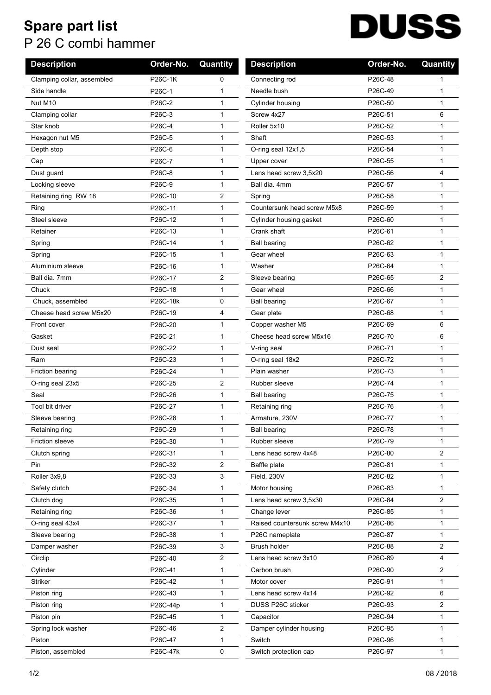## **Spare part list** P 26 C combi hammer

## **DUSS**

| <b>Description</b>         | Order-No. | Quantity | <b>Description</b>             | Order-No. | Quantity       |
|----------------------------|-----------|----------|--------------------------------|-----------|----------------|
| Clamping collar, assembled | P26C-1K   | 0        | Connecting rod                 | P26C-48   | 1              |
| Side handle                | P26C-1    | 1        | Needle bush                    | P26C-49   | 1              |
| Nut M10                    | P26C-2    | 1        | Cylinder housing               | P26C-50   | $\mathbf{1}$   |
| Clamping collar            | P26C-3    | 1        | Screw 4x27                     | P26C-51   | 6              |
| Star knob                  | P26C-4    | 1        | Roller 5x10                    | P26C-52   | $\mathbf{1}$   |
| Hexagon nut M5             | P26C-5    | 1        | Shaft                          | P26C-53   | $\mathbf{1}$   |
| Depth stop                 | P26C-6    | 1        | O-ring seal 12x1,5             | P26C-54   | 1              |
| Cap                        | P26C-7    | 1        | Upper cover                    | P26C-55   | $\mathbf 1$    |
| Dust guard                 | P26C-8    | 1        | Lens head screw 3,5x20         | P26C-56   | 4              |
| Locking sleeve             | P26C-9    | 1        | Ball dia, 4mm                  | P26C-57   | 1              |
| Retaining ring RW 18       | P26C-10   | 2        | Spring                         | P26C-58   | $\mathbf{1}$   |
| Ring                       | P26C-11   | 1        | Countersunk head screw M5x8    | P26C-59   | 1              |
| Steel sleeve               | P26C-12   | 1        | Cylinder housing gasket        | P26C-60   | $\mathbf 1$    |
| Retainer                   | P26C-13   | 1        | Crank shaft                    | P26C-61   | $\mathbf{1}$   |
| Spring                     | P26C-14   | 1        | <b>Ball bearing</b>            | P26C-62   | $\mathbf{1}$   |
| Spring                     | P26C-15   | 1        | Gear wheel                     | P26C-63   | 1              |
| Aluminium sleeve           | P26C-16   | 1        | Washer                         | P26C-64   | $\mathbf{1}$   |
| Ball dia. 7mm              | P26C-17   | 2        | Sleeve bearing                 | P26C-65   | 2              |
| Chuck                      | P26C-18   | 1        | Gear wheel                     | P26C-66   | 1              |
| Chuck, assembled           | P26C-18k  | 0        | <b>Ball bearing</b>            | P26C-67   | 1              |
| Cheese head screw M5x20    | P26C-19   | 4        | Gear plate                     | P26C-68   | $\mathbf{1}$   |
| Front cover                | P26C-20   | 1        | Copper washer M5               | P26C-69   | 6              |
| Gasket                     | P26C-21   | 1        | Cheese head screw M5x16        | P26C-70   | 6              |
| Dust seal                  | P26C-22   | 1        | V-ring seal                    | P26C-71   | $\mathbf{1}$   |
| Ram                        | P26C-23   | 1        | O-ring seal 18x2               | P26C-72   | $\mathbf{1}$   |
| <b>Friction bearing</b>    | P26C-24   | 1        | Plain washer                   | P26C-73   | $\mathbf{1}$   |
| O-ring seal 23x5           | P26C-25   | 2        | Rubber sleeve                  | P26C-74   | 1              |
| Seal                       | P26C-26   | 1        | <b>Ball bearing</b>            | P26C-75   | 1              |
| Tool bit driver            | P26C-27   | 1        | Retaining ring                 | P26C-76   | 1              |
| Sleeve bearing             | P26C-28   | 1        | Armature, 230V                 | P26C-77   | $\mathbf 1$    |
| Retaining ring             | P26C-29   | 1        | <b>Ball bearing</b>            | P26C-78   | 1              |
| Friction sleeve            | P26C-30   | 1        | Rubber sleeve                  | P26C-79   | $\mathbf{1}$   |
| Clutch spring              | P26C-31   | 1        | Lens head screw 4x48           | P26C-80   | 2              |
| Pin                        | P26C-32   | 2        | Baffle plate                   | P26C-81   | 1              |
| Roller 3x9,8               | P26C-33   | 3        | Field, 230V                    | P26C-82   | 1              |
| Safety clutch              | P26C-34   | 1        | Motor housing                  | P26C-83   | $\mathbf{1}$   |
| Clutch dog                 | P26C-35   | 1        | Lens head screw 3,5x30         | P26C-84   | $\overline{2}$ |
| Retaining ring             | P26C-36   | 1        | Change lever                   | P26C-85   | 1              |
| O-ring seal 43x4           | P26C-37   | 1        | Raised countersunk screw M4x10 | P26C-86   | 1              |
| Sleeve bearing             | P26C-38   | 1        | P26C nameplate                 | P26C-87   | $\mathbf{1}$   |
| Damper washer              | P26C-39   | 3        | Brush holder                   | P26C-88   | 2              |
| Circlip                    | P26C-40   | 2        | Lens head screw 3x10           | P26C-89   | 4              |
| Cylinder                   | P26C-41   | 1        | Carbon brush                   | P26C-90   | $\overline{2}$ |
| Striker                    | P26C-42   | 1        | Motor cover                    | P26C-91   | 1              |
| Piston ring                | P26C-43   | 1        | Lens head screw 4x14           | P26C-92   | 6              |
| Piston ring                | P26C-44p  | 1        | DUSS P26C sticker              | P26C-93   | 2              |
| Piston pin                 | P26C-45   | 1        | Capacitor                      | P26C-94   | 1              |
| Spring lock washer         | P26C-46   | 2        | Damper cylinder housing        | P26C-95   | 1              |
| Piston                     | P26C-47   | 1        | Switch                         | P26C-96   | 1              |
| Piston, assembled          | P26C-47k  | 0        | Switch protection cap          | P26C-97   | 1              |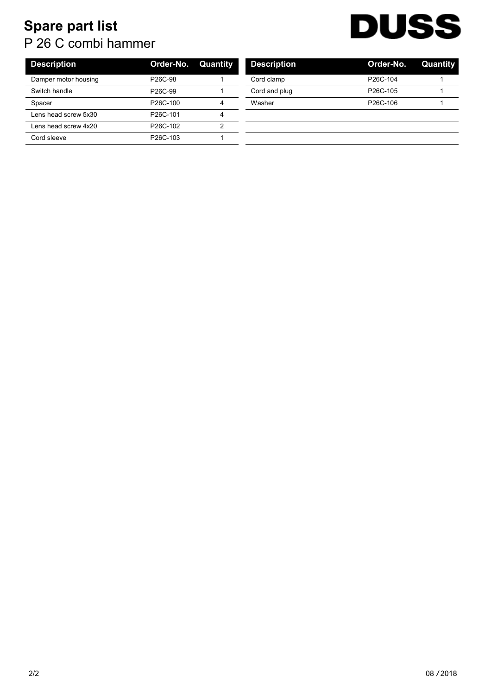## **Spare part list** P 26 C combi hammer



| <b>Description</b>   | Order-No.                         | Quantity | <b>Description</b> | Order-No.             | Quant |
|----------------------|-----------------------------------|----------|--------------------|-----------------------|-------|
| Damper motor housing | P <sub>26</sub> C-98              |          | Cord clamp         | P <sub>26</sub> C-104 |       |
| Switch handle        | P <sub>26</sub> C-99              |          | Cord and plug      | P <sub>26</sub> C-105 |       |
| Spacer               | P <sub>26</sub> C-100             | 4        | Washer             | P <sub>26</sub> C-106 |       |
| Lens head screw 5x30 | P <sub>26</sub> C-101             | 4        |                    |                       |       |
| Lens head screw 4x20 | P <sub>26</sub> C-10 <sub>2</sub> | ົ        |                    |                       |       |
| Cord sleeve          | P <sub>26</sub> C-103             |          |                    |                       |       |

| <b>Description</b> | Order-No.             | Quantity |
|--------------------|-----------------------|----------|
| Cord clamp         | P <sub>26</sub> C-104 |          |
| Cord and plug      | P <sub>26</sub> C-105 |          |
| Washer             | P <sub>26</sub> C-106 |          |
|                    |                       |          |
|                    |                       |          |